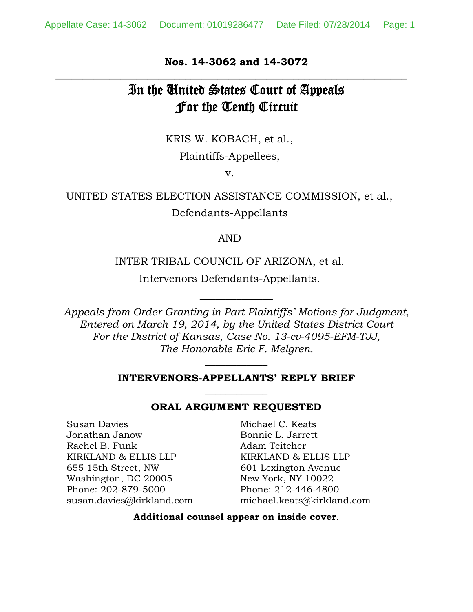### **Nos. 14-3062 and 14-3072 \_\_\_\_\_\_\_\_\_\_\_\_\_\_\_\_\_\_\_\_\_\_\_\_\_\_\_\_\_\_\_\_\_\_\_\_\_\_\_\_\_\_\_\_\_\_\_\_\_\_\_\_\_\_\_\_\_\_\_\_\_\_\_\_\_**

# In the United States Court of Appeals For the Tenth Circuit

KRIS W. KOBACH, et al.,

Plaintiffs-Appellees,

v.

UNITED STATES ELECTION ASSISTANCE COMMISSION, et al., Defendants-Appellants

#### AND

#### INTER TRIBAL COUNCIL OF ARIZONA, et al.

Intervenors Defendants-Appellants.

*Appeals from Order Granting in Part Plaintiffs' Motions for Judgment, Entered on March 19, 2014, by the United States District Court For the District of Kansas, Case No. 13-cv-4095-EFM-TJJ, The Honorable Eric F. Melgren.*

 $\overline{\phantom{a}}$  , where  $\overline{\phantom{a}}$ 

### **INTERVENORS-APPELLANTS' REPLY BRIEF**   $\overline{\phantom{a}}$  , where  $\overline{\phantom{a}}$

 $\overline{\phantom{a}}$ 

#### **ORAL ARGUMENT REQUESTED**

Susan Davies Jonathan Janow Rachel B. Funk KIRKLAND & ELLIS LLP 655 15th Street, NW Washington, DC 20005 Phone: 202-879-5000 susan.davies@kirkland.com

Michael C. Keats Bonnie L. Jarrett Adam Teitcher KIRKLAND & ELLIS LLP 601 Lexington Avenue New York, NY 10022 Phone: 212-446-4800 michael.keats@kirkland.com

#### **Additional counsel appear on inside cover**.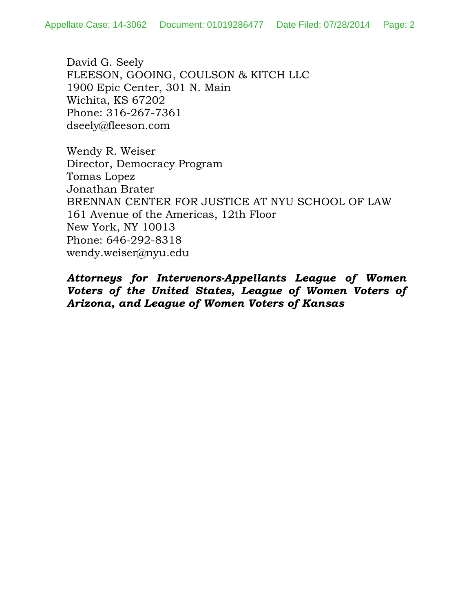David G. Seely FLEESON, GOOING, COULSON & KITCH LLC 1900 Epic Center, 301 N. Main Wichita, KS 67202 Phone: 316-267-7361 dseely@fleeson.com

Wendy R. Weiser Director, Democracy Program Tomas Lopez Jonathan Brater BRENNAN CENTER FOR JUSTICE AT NYU SCHOOL OF LAW 161 Avenue of the Americas, 12th Floor New York, NY 10013 Phone: 646-292-8318 wendy.weiser@nyu.edu

*Attorneys for Intervenors-Appellants League of Women Voters of the United States, League of Women Voters of Arizona, and League of Women Voters of Kansas*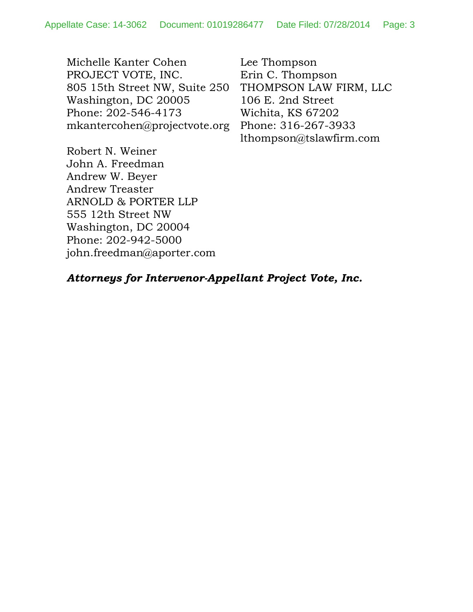Michelle Kanter Cohen PROJECT VOTE, INC. 805 15th Street NW, Suite 250 Washington, DC 20005 Phone: 202-546-4173 mkantercohen@projectvote.org Lee Thompson Erin C. Thompson THOMPSON LAW FIRM, LLC 106 E. 2nd Street Wichita, KS 67202 Phone: 316-267-3933 lthompson@tslawfirm.com

Robert N. Weiner John A. Freedman Andrew W. Beyer Andrew Treaster ARNOLD & PORTER LLP 555 12th Street NW Washington, DC 20004 Phone: 202-942-5000 john.freedman@aporter.com

### *Attorneys for Intervenor-Appellant Project Vote, Inc.*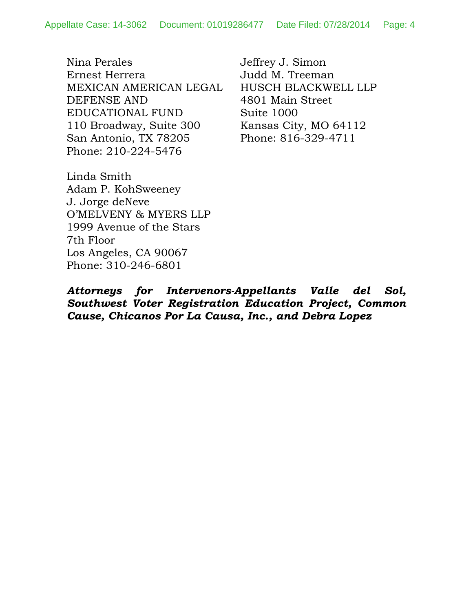Nina Perales Ernest Herrera MEXICAN AMERICAN LEGAL DEFENSE AND EDUCATIONAL FUND 110 Broadway, Suite 300 San Antonio, TX 78205 Phone: 210-224-5476

Jeffrey J. Simon Judd M. Treeman HUSCH BLACKWELL LLP 4801 Main Street Suite 1000 Kansas City, MO 64112 Phone: 816-329-4711

Linda Smith Adam P. KohSweeney J. Jorge deNeve O'MELVENY & MYERS LLP 1999 Avenue of the Stars 7th Floor Los Angeles, CA 90067 Phone: 310-246-6801

*Attorneys for Intervenors-Appellants Valle del Sol, Southwest Voter Registration Education Project, Common Cause, Chicanos Por La Causa, Inc., and Debra Lopez*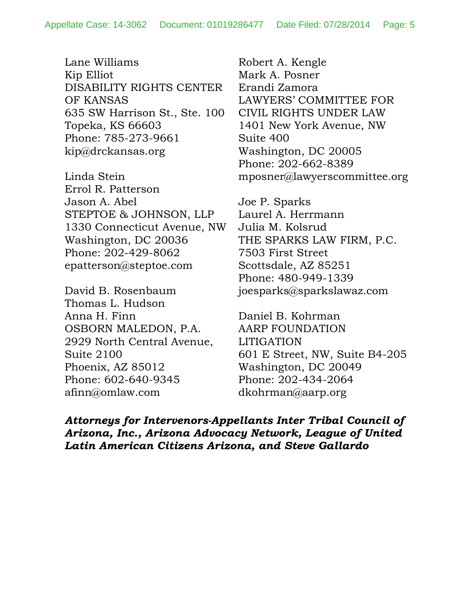Lane Williams Kip Elliot DISABILITY RIGHTS CENTER OF KANSAS 635 SW Harrison St., Ste. 100 Topeka, KS 66603 Phone: 785-273-9661 kip@drckansas.org

Linda Stein Errol R. Patterson Jason A. Abel STEPTOE & JOHNSON, LLP 1330 Connecticut Avenue, NW Washington, DC 20036 Phone: 202-429-8062 epatterson@steptoe.com

David B. Rosenbaum Thomas L. Hudson Anna H. Finn OSBORN MALEDON, P.A. 2929 North Central Avenue, Suite 2100 Phoenix, AZ 85012 Phone: 602-640-9345 afinn@omlaw.com

Robert A. Kengle Mark A. Posner Erandi Zamora LAWYERS' COMMITTEE FOR CIVIL RIGHTS UNDER LAW 1401 New York Avenue, NW Suite 400 Washington, DC 20005 Phone: 202-662-8389 mposner@lawyerscommittee.org

Joe P. Sparks Laurel A. Herrmann Julia M. Kolsrud THE SPARKS LAW FIRM, P.C. 7503 First Street Scottsdale, AZ 85251 Phone: 480-949-1339 joesparks@sparkslawaz.com

Daniel B. Kohrman AARP FOUNDATION LITIGATION 601 E Street, NW, Suite B4-205 Washington, DC 20049 Phone: 202-434-2064 dkohrman@aarp.org

*Attorneys for Intervenors-Appellants Inter Tribal Council of Arizona, Inc., Arizona Advocacy Network, League of United Latin American Citizens Arizona, and Steve Gallardo*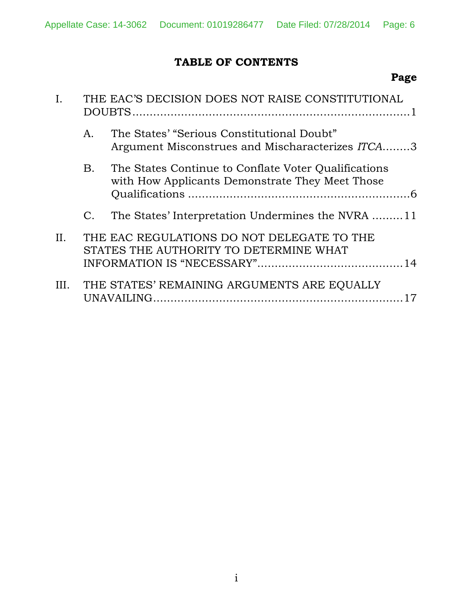# **TABLE OF CONTENTS**

# **Page**

|      | THE EAC'S DECISION DOES NOT RAISE CONSTITUTIONAL          |                                                                                                         |
|------|-----------------------------------------------------------|---------------------------------------------------------------------------------------------------------|
|      | $A_{\cdot}$                                               | The States' "Serious Constitutional Doubt"<br>Argument Misconstrues and Mischaracterizes ITCA3          |
|      | <b>B.</b>                                                 | The States Continue to Conflate Voter Qualifications<br>with How Applicants Demonstrate They Meet Those |
|      | C.                                                        | The States' Interpretation Undermines the NVRA 11                                                       |
| II.  |                                                           | THE EAC REGULATIONS DO NOT DELEGATE TO THE<br>STATES THE AUTHORITY TO DETERMINE WHAT                    |
| III. | THE STATES' REMAINING ARGUMENTS ARE EQUALLY<br>UNAVAILING |                                                                                                         |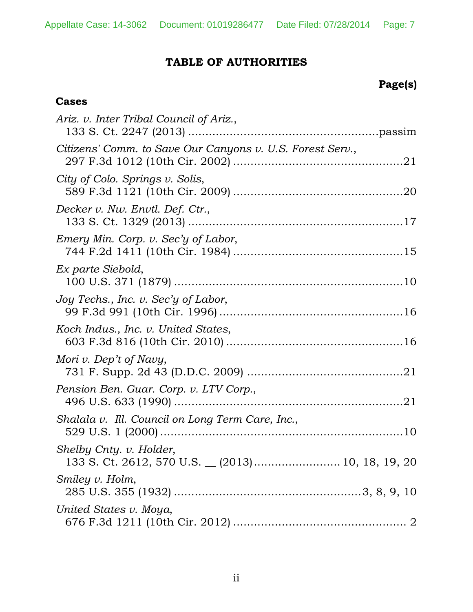# **TABLE OF AUTHORITIES**

# **Page(s)**

# **Cases**

| Ariz. v. Inter Tribal Council of Ariz.,                                    |
|----------------------------------------------------------------------------|
| Citizens' Comm. to Save Our Canyons v. U.S. Forest Serv.,                  |
| City of Colo. Springs v. Solis,                                            |
| Decker v. Nw. Envtl. Def. Ctr.,                                            |
| Emery Min. Corp. v. Sec'y of Labor,                                        |
| Ex parte Siebold,                                                          |
| Joy Techs., Inc. v. Sec'y of Labor,                                        |
| Koch Indus., Inc. v. United States,                                        |
| Mori v. Dep't of Navy,                                                     |
| Pension Ben. Guar. Corp. v. LTV Corp.,                                     |
| Shalala v. Ill. Council on Long Term Care, Inc.,                           |
| Shelby Cnty. v. Holder,<br>133 S. Ct. 2612, 570 U.S. (2013) 10, 18, 19, 20 |
| Smiley v. Holm,                                                            |
| United States v. Moya,                                                     |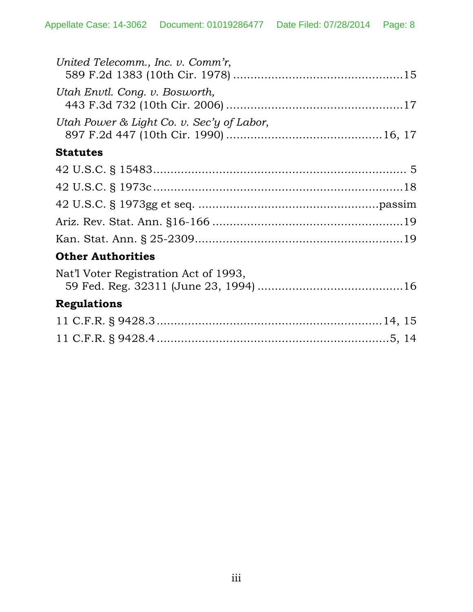| United Telecomm., Inc. v. Comm'r,         |  |  |  |
|-------------------------------------------|--|--|--|
| Utah Envtl. Cong. v. Bosworth,            |  |  |  |
| Utah Power & Light Co. v. Sec'y of Labor, |  |  |  |
| <b>Statutes</b>                           |  |  |  |
|                                           |  |  |  |
|                                           |  |  |  |
|                                           |  |  |  |
|                                           |  |  |  |
|                                           |  |  |  |
| <b>Other Authorities</b>                  |  |  |  |
| Nat'l Voter Registration Act of 1993,     |  |  |  |
| <b>Regulations</b>                        |  |  |  |
|                                           |  |  |  |
|                                           |  |  |  |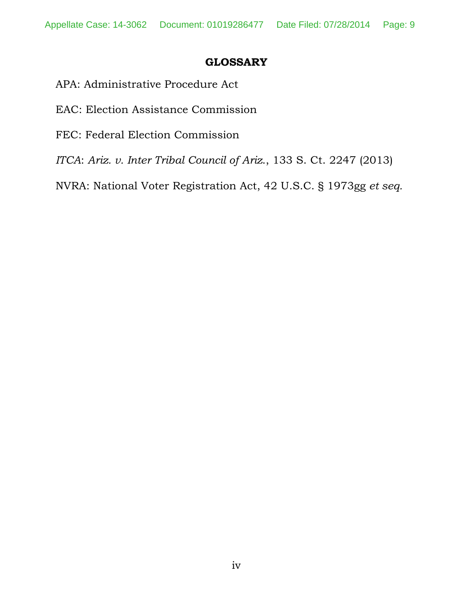### **GLOSSARY**

- APA: Administrative Procedure Act
- EAC: Election Assistance Commission
- FEC: Federal Election Commission
- *ITCA*: *Ariz. v. Inter Tribal Council of Ariz*., 133 S. Ct. 2247 (2013)

NVRA: National Voter Registration Act, 42 U.S.C. § 1973gg *et seq.*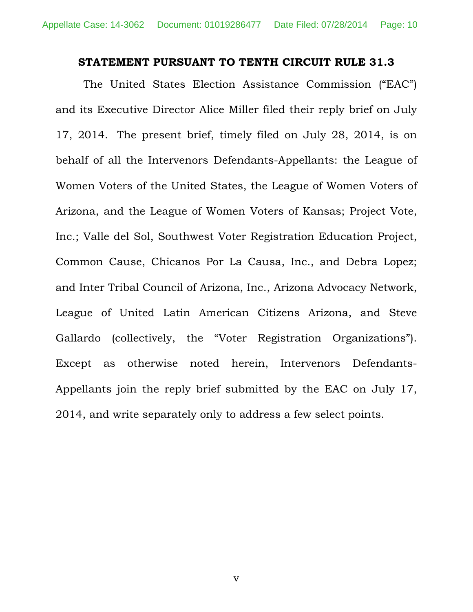#### **STATEMENT PURSUANT TO TENTH CIRCUIT RULE 31.3**

The United States Election Assistance Commission ("EAC") and its Executive Director Alice Miller filed their reply brief on July 17, 2014. The present brief, timely filed on July 28, 2014, is on behalf of all the Intervenors Defendants-Appellants: the League of Women Voters of the United States, the League of Women Voters of Arizona, and the League of Women Voters of Kansas; Project Vote, Inc.; Valle del Sol, Southwest Voter Registration Education Project, Common Cause, Chicanos Por La Causa, Inc., and Debra Lopez; and Inter Tribal Council of Arizona, Inc., Arizona Advocacy Network, League of United Latin American Citizens Arizona, and Steve Gallardo (collectively, the "Voter Registration Organizations"). Except as otherwise noted herein, Intervenors Defendants-Appellants join the reply brief submitted by the EAC on July 17, 2014, and write separately only to address a few select points.

v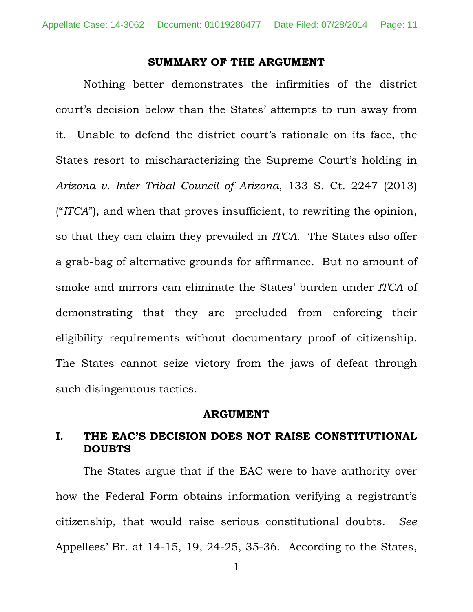#### **SUMMARY OF THE ARGUMENT**

Nothing better demonstrates the infirmities of the district court's decision below than the States' attempts to run away from it. Unable to defend the district court's rationale on its face, the States resort to mischaracterizing the Supreme Court's holding in *Arizona v. Inter Tribal Council of Arizona*, 133 S. Ct. 2247 (2013) ("*ITCA*"), and when that proves insufficient, to rewriting the opinion, so that they can claim they prevailed in *ITCA*. The States also offer a grab-bag of alternative grounds for affirmance. But no amount of smoke and mirrors can eliminate the States' burden under *ITCA* of demonstrating that they are precluded from enforcing their eligibility requirements without documentary proof of citizenship. The States cannot seize victory from the jaws of defeat through such disingenuous tactics.

#### **ARGUMENT**

### **I. THE EAC'S DECISION DOES NOT RAISE CONSTITUTIONAL DOUBTS**

The States argue that if the EAC were to have authority over how the Federal Form obtains information verifying a registrant's citizenship, that would raise serious constitutional doubts. *See*  Appellees' Br. at 14-15, 19, 24-25, 35-36. According to the States,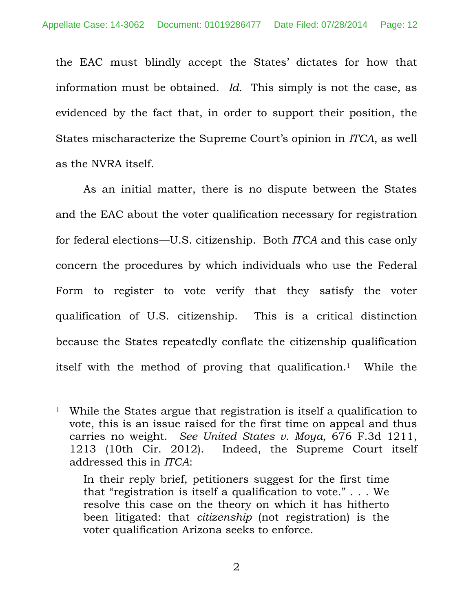the EAC must blindly accept the States' dictates for how that information must be obtained. *Id.* This simply is not the case, as evidenced by the fact that, in order to support their position, the States mischaracterize the Supreme Court's opinion in *ITCA*, as well as the NVRA itself.

As an initial matter, there is no dispute between the States and the EAC about the voter qualification necessary for registration for federal elections—U.S. citizenship. Both *ITCA* and this case only concern the procedures by which individuals who use the Federal Form to register to vote verify that they satisfy the voter qualification of U.S. citizenship. This is a critical distinction because the States repeatedly conflate the citizenship qualification itself with the method of proving that qualification.1 While the

 $\overline{a}$ 

<sup>1</sup> While the States argue that registration is itself a qualification to vote, this is an issue raised for the first time on appeal and thus carries no weight. *See United States v. Moya*, 676 F.3d 1211, 1213 (10th Cir. 2012). Indeed, the Supreme Court itself addressed this in *ITCA*:

In their reply brief, petitioners suggest for the first time that "registration is itself a qualification to vote." . . . We resolve this case on the theory on which it has hitherto been litigated: that *citizenship* (not registration) is the voter qualification Arizona seeks to enforce.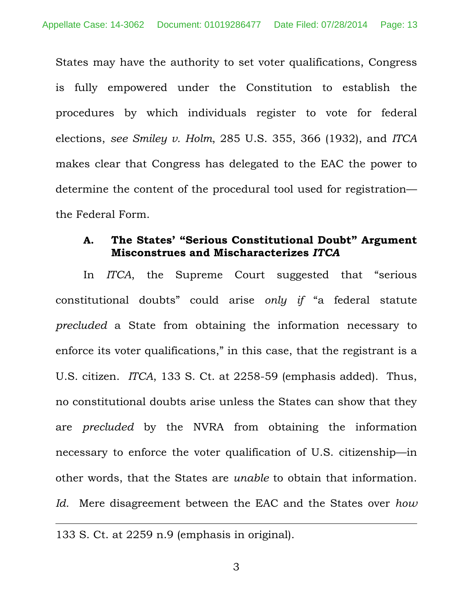States may have the authority to set voter qualifications, Congress is fully empowered under the Constitution to establish the procedures by which individuals register to vote for federal elections, *see Smiley v. Holm*, 285 U.S. 355, 366 (1932), and *ITCA* makes clear that Congress has delegated to the EAC the power to determine the content of the procedural tool used for registration the Federal Form.

## **A. The States' "Serious Constitutional Doubt" Argument Misconstrues and Mischaracterizes** *ITCA*

In *ITCA*, the Supreme Court suggested that "serious constitutional doubts" could arise *only if* "a federal statute *precluded* a State from obtaining the information necessary to enforce its voter qualifications," in this case, that the registrant is a U.S. citizen. *ITCA*, 133 S. Ct. at 2258-59 (emphasis added). Thus, no constitutional doubts arise unless the States can show that they are *precluded* by the NVRA from obtaining the information necessary to enforce the voter qualification of U.S. citizenship—in other words, that the States are *unable* to obtain that information. *Id.* Mere disagreement between the EAC and the States over *how*

 $\overline{a}$ 

<sup>133</sup> S. Ct. at 2259 n.9 (emphasis in original).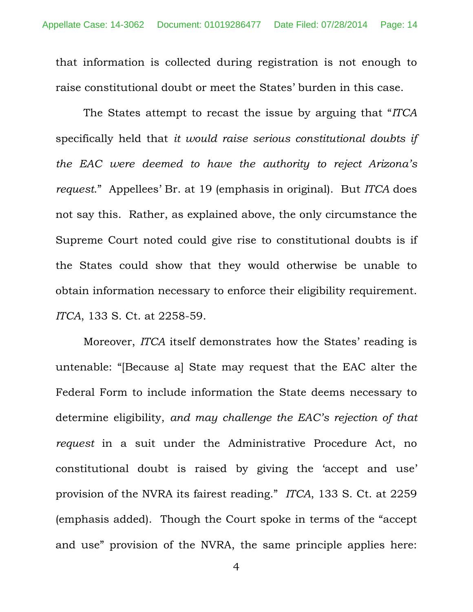that information is collected during registration is not enough to raise constitutional doubt or meet the States' burden in this case.

The States attempt to recast the issue by arguing that "*ITCA*  specifically held that *it would raise serious constitutional doubts if the EAC were deemed to have the authority to reject Arizona's request*." Appellees' Br. at 19 (emphasis in original). But *ITCA* does not say this. Rather, as explained above, the only circumstance the Supreme Court noted could give rise to constitutional doubts is if the States could show that they would otherwise be unable to obtain information necessary to enforce their eligibility requirement. *ITCA*, 133 S. Ct. at 2258-59.

Moreover, *ITCA* itself demonstrates how the States' reading is untenable: "[Because a] State may request that the EAC alter the Federal Form to include information the State deems necessary to determine eligibility, *and may challenge the EAC's rejection of that request* in a suit under the Administrative Procedure Act, no constitutional doubt is raised by giving the 'accept and use' provision of the NVRA its fairest reading." *ITCA*, 133 S. Ct. at 2259 (emphasis added). Though the Court spoke in terms of the "accept and use" provision of the NVRA, the same principle applies here: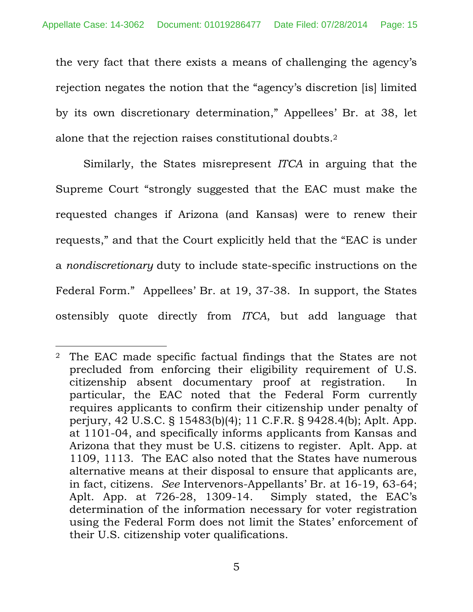the very fact that there exists a means of challenging the agency's rejection negates the notion that the "agency's discretion [is] limited by its own discretionary determination," Appellees' Br. at 38, let alone that the rejection raises constitutional doubts.2

Similarly, the States misrepresent *ITCA* in arguing that the Supreme Court "strongly suggested that the EAC must make the requested changes if Arizona (and Kansas) were to renew their requests," and that the Court explicitly held that the "EAC is under a *nondiscretionary* duty to include state-specific instructions on the Federal Form." Appellees' Br. at 19, 37-38. In support, the States ostensibly quote directly from *ITCA*, but add language that

 $\overline{a}$ 

<sup>2</sup> The EAC made specific factual findings that the States are not precluded from enforcing their eligibility requirement of U.S. citizenship absent documentary proof at registration. In particular, the EAC noted that the Federal Form currently requires applicants to confirm their citizenship under penalty of perjury, 42 U.S.C. § 15483(b)(4); 11 C.F.R. § 9428.4(b); Aplt. App. at 1101-04, and specifically informs applicants from Kansas and Arizona that they must be U.S. citizens to register. Aplt. App. at 1109, 1113. The EAC also noted that the States have numerous alternative means at their disposal to ensure that applicants are, in fact, citizens. *See* Intervenors-Appellants' Br. at 16-19, 63-64; Aplt. App. at 726-28, 1309-14. Simply stated, the EAC's determination of the information necessary for voter registration using the Federal Form does not limit the States' enforcement of their U.S. citizenship voter qualifications.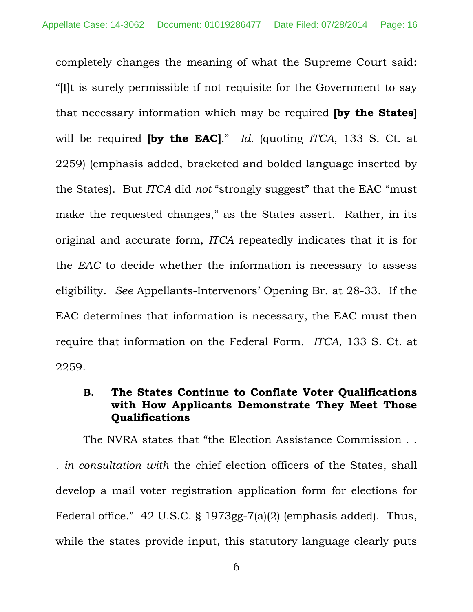completely changes the meaning of what the Supreme Court said: "[I]t is surely permissible if not requisite for the Government to say that necessary information which may be required **[by the States]** will be required **[by the EAC]**." *Id.* (quoting *ITCA*, 133 S. Ct. at 2259) (emphasis added, bracketed and bolded language inserted by the States). But *ITCA* did *not* "strongly suggest" that the EAC "must make the requested changes," as the States assert. Rather, in its original and accurate form, *ITCA* repeatedly indicates that it is for the *EAC* to decide whether the information is necessary to assess eligibility. *See* Appellants-Intervenors' Opening Br. at 28-33. If the EAC determines that information is necessary, the EAC must then require that information on the Federal Form. *ITCA*, 133 S. Ct. at 2259.

## **B. The States Continue to Conflate Voter Qualifications with How Applicants Demonstrate They Meet Those Qualifications**

The NVRA states that "the Election Assistance Commission . . . *in consultation with* the chief election officers of the States, shall develop a mail voter registration application form for elections for Federal office." 42 U.S.C. § 1973gg-7(a)(2) (emphasis added). Thus, while the states provide input, this statutory language clearly puts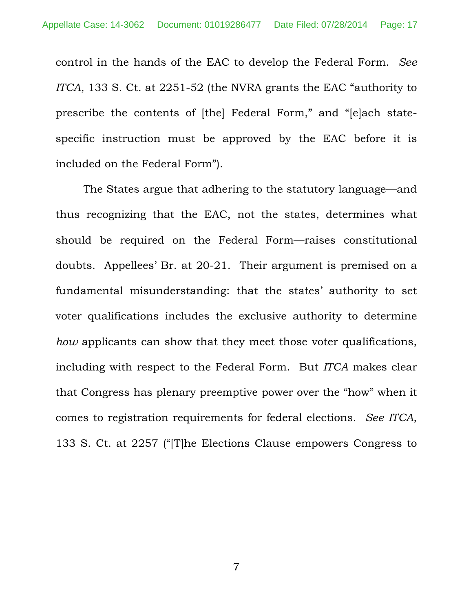control in the hands of the EAC to develop the Federal Form. *See ITCA*, 133 S. Ct. at 2251-52 (the NVRA grants the EAC "authority to prescribe the contents of [the] Federal Form," and "[e]ach statespecific instruction must be approved by the EAC before it is included on the Federal Form").

The States argue that adhering to the statutory language—and thus recognizing that the EAC, not the states, determines what should be required on the Federal Form—raises constitutional doubts. Appellees' Br. at 20-21. Their argument is premised on a fundamental misunderstanding: that the states' authority to set voter qualifications includes the exclusive authority to determine *how* applicants can show that they meet those voter qualifications, including with respect to the Federal Form. But *ITCA* makes clear that Congress has plenary preemptive power over the "how" when it comes to registration requirements for federal elections. *See ITCA*, 133 S. Ct. at 2257 ("[T]he Elections Clause empowers Congress to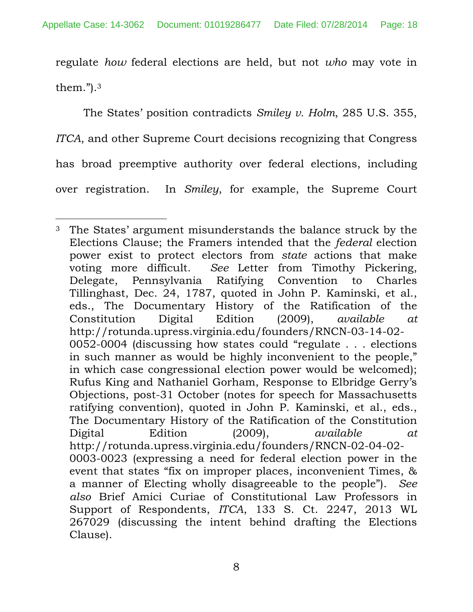regulate *how* federal elections are held, but not *who* may vote in them.").3

The States' position contradicts *Smiley v. Holm*, 285 U.S. 355, *ITCA*, and other Supreme Court decisions recognizing that Congress has broad preemptive authority over federal elections, including over registration. In *Smiley*, for example, the Supreme Court

 $\overline{a}$ 3 The States' argument misunderstands the balance struck by the Elections Clause; the Framers intended that the *federal* election power exist to protect electors from *state* actions that make voting more difficult. *See* Letter from Timothy Pickering, Delegate, Pennsylvania Ratifying Convention to Charles Tillinghast, Dec. 24, 1787, quoted in John P. Kaminski, et al., eds., The Documentary History of the Ratification of the Constitution Digital Edition (2009), *available at* http://rotunda.upress.virginia.edu/founders/RNCN-03-14-02- 0052-0004 (discussing how states could "regulate . . . elections in such manner as would be highly inconvenient to the people," in which case congressional election power would be welcomed); Rufus King and Nathaniel Gorham, Response to Elbridge Gerry's Objections, post-31 October (notes for speech for Massachusetts ratifying convention), quoted in John P. Kaminski, et al., eds., The Documentary History of the Ratification of the Constitution Digital Edition (2009), *available at* http://rotunda.upress.virginia.edu/founders/RNCN-02-04-02- 0003-0023 (expressing a need for federal election power in the event that states "fix on improper places, inconvenient Times, & a manner of Electing wholly disagreeable to the people"). *See also* Brief Amici Curiae of Constitutional Law Professors in Support of Respondents, *ITCA*, 133 S. Ct. 2247, 2013 WL 267029 (discussing the intent behind drafting the Elections Clause).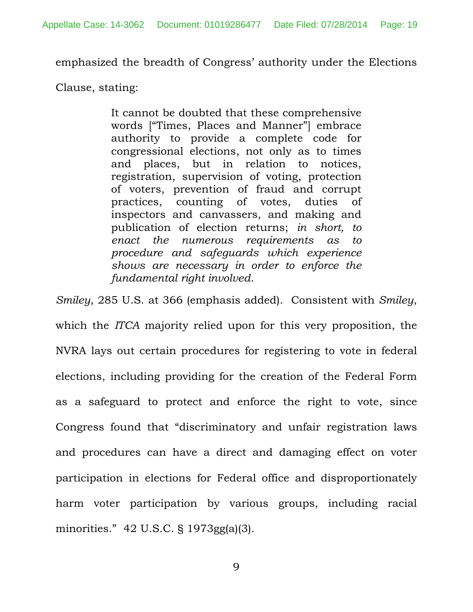emphasized the breadth of Congress' authority under the Elections

Clause, stating:

It cannot be doubted that these comprehensive words ["Times, Places and Manner"] embrace authority to provide a complete code for congressional elections, not only as to times and places, but in relation to notices, registration, supervision of voting, protection of voters, prevention of fraud and corrupt practices, counting of votes, duties of inspectors and canvassers, and making and publication of election returns; *in short, to enact the numerous requirements as to procedure and safeguards which experience shows are necessary in order to enforce the fundamental right involved*.

*Smiley*, 285 U.S. at 366 (emphasis added). Consistent with *Smiley*, which the *ITCA* majority relied upon for this very proposition, the NVRA lays out certain procedures for registering to vote in federal elections, including providing for the creation of the Federal Form as a safeguard to protect and enforce the right to vote, since Congress found that "discriminatory and unfair registration laws and procedures can have a direct and damaging effect on voter participation in elections for Federal office and disproportionately harm voter participation by various groups, including racial minorities." 42 U.S.C. § 1973gg(a)(3).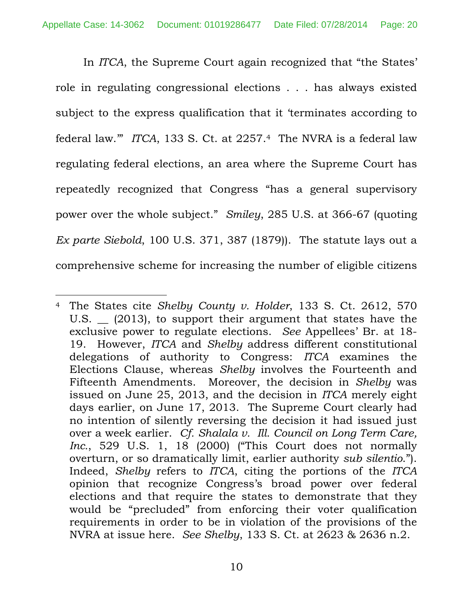In *ITCA*, the Supreme Court again recognized that "the States' role in regulating congressional elections . . . has always existed subject to the express qualification that it 'terminates according to federal law.'" *ITCA*, 133 S. Ct. at 2257.4 The NVRA is a federal law regulating federal elections, an area where the Supreme Court has repeatedly recognized that Congress "has a general supervisory power over the whole subject." *Smiley*, 285 U.S. at 366-67 (quoting *Ex parte Siebold*, 100 U.S. 371, 387 (1879)). The statute lays out a comprehensive scheme for increasing the number of eligible citizens

 $\overline{a}$ 

<sup>4</sup> The States cite *Shelby County v. Holder*, 133 S. Ct. 2612, 570 U.S. \_\_ (2013), to support their argument that states have the exclusive power to regulate elections. *See* Appellees' Br. at 18- 19. However, *ITCA* and *Shelby* address different constitutional delegations of authority to Congress: *ITCA* examines the Elections Clause, whereas *Shelby* involves the Fourteenth and Fifteenth Amendments. Moreover, the decision in *Shelby* was issued on June 25, 2013, and the decision in *ITCA* merely eight days earlier, on June 17, 2013. The Supreme Court clearly had no intention of silently reversing the decision it had issued just over a week earlier. *Cf. Shalala v. Ill. Council on Long Term Care, Inc.*, 529 U.S. 1, 18 (2000) ("This Court does not normally overturn, or so dramatically limit, earlier authority *sub silentio*."). Indeed, *Shelby* refers to *ITCA*, citing the portions of the *ITCA* opinion that recognize Congress's broad power over federal elections and that require the states to demonstrate that they would be "precluded" from enforcing their voter qualification requirements in order to be in violation of the provisions of the NVRA at issue here. *See Shelby*, 133 S. Ct. at 2623 & 2636 n.2.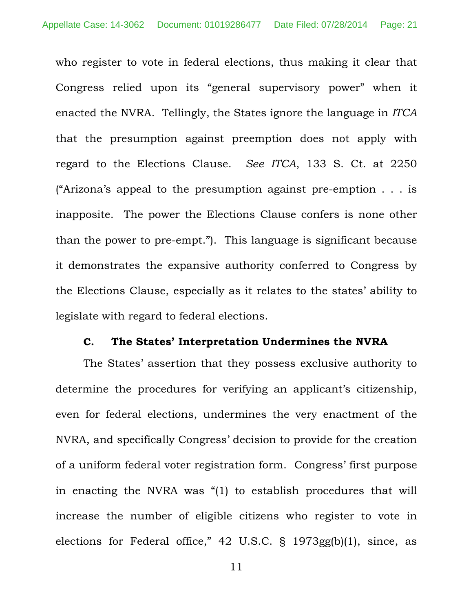who register to vote in federal elections, thus making it clear that Congress relied upon its "general supervisory power" when it enacted the NVRA. Tellingly, the States ignore the language in *ITCA* that the presumption against preemption does not apply with regard to the Elections Clause. *See ITCA*, 133 S. Ct. at 2250 ("Arizona's appeal to the presumption against pre-emption . . . is inapposite. The power the Elections Clause confers is none other than the power to pre-empt."). This language is significant because it demonstrates the expansive authority conferred to Congress by the Elections Clause, especially as it relates to the states' ability to legislate with regard to federal elections.

#### **C. The States' Interpretation Undermines the NVRA**

The States' assertion that they possess exclusive authority to determine the procedures for verifying an applicant's citizenship, even for federal elections, undermines the very enactment of the NVRA, and specifically Congress' decision to provide for the creation of a uniform federal voter registration form. Congress' first purpose in enacting the NVRA was "(1) to establish procedures that will increase the number of eligible citizens who register to vote in elections for Federal office," 42 U.S.C. § 1973gg(b)(1), since, as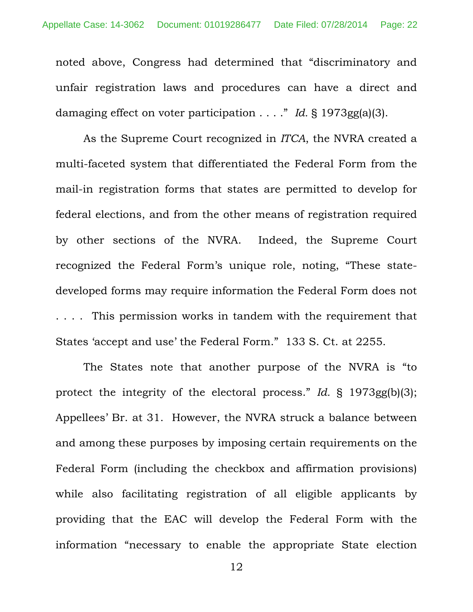noted above, Congress had determined that "discriminatory and unfair registration laws and procedures can have a direct and damaging effect on voter participation . . . ." *Id.* § 1973gg(a)(3).

As the Supreme Court recognized in *ITCA*, the NVRA created a multi-faceted system that differentiated the Federal Form from the mail-in registration forms that states are permitted to develop for federal elections, and from the other means of registration required by other sections of the NVRA. Indeed, the Supreme Court recognized the Federal Form's unique role, noting, "These statedeveloped forms may require information the Federal Form does not . . . . This permission works in tandem with the requirement that States 'accept and use' the Federal Form." 133 S. Ct. at 2255.

The States note that another purpose of the NVRA is "to protect the integrity of the electoral process." *Id.* § 1973gg(b)(3); Appellees' Br. at 31. However, the NVRA struck a balance between and among these purposes by imposing certain requirements on the Federal Form (including the checkbox and affirmation provisions) while also facilitating registration of all eligible applicants by providing that the EAC will develop the Federal Form with the information "necessary to enable the appropriate State election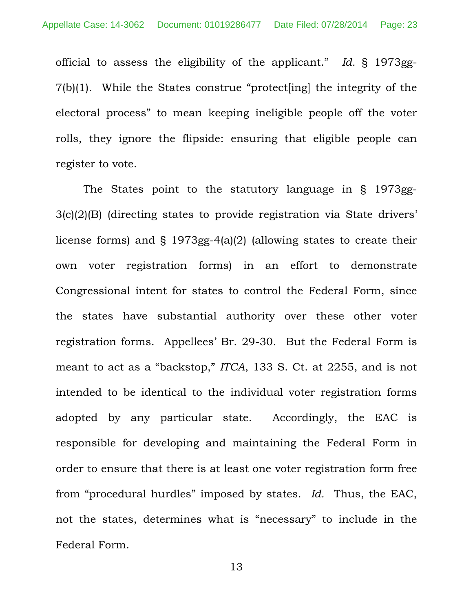official to assess the eligibility of the applicant." *Id.* § 1973gg-7(b)(1). While the States construe "protect[ing] the integrity of the electoral process" to mean keeping ineligible people off the voter rolls, they ignore the flipside: ensuring that eligible people can register to vote.

The States point to the statutory language in § 1973gg-3(c)(2)(B) (directing states to provide registration via State drivers' license forms) and § 1973gg-4(a)(2) (allowing states to create their own voter registration forms) in an effort to demonstrate Congressional intent for states to control the Federal Form, since the states have substantial authority over these other voter registration forms. Appellees' Br. 29-30. But the Federal Form is meant to act as a "backstop," *ITCA*, 133 S. Ct. at 2255, and is not intended to be identical to the individual voter registration forms adopted by any particular state. Accordingly, the EAC is responsible for developing and maintaining the Federal Form in order to ensure that there is at least one voter registration form free from "procedural hurdles" imposed by states. *Id.* Thus, the EAC, not the states, determines what is "necessary" to include in the Federal Form.

13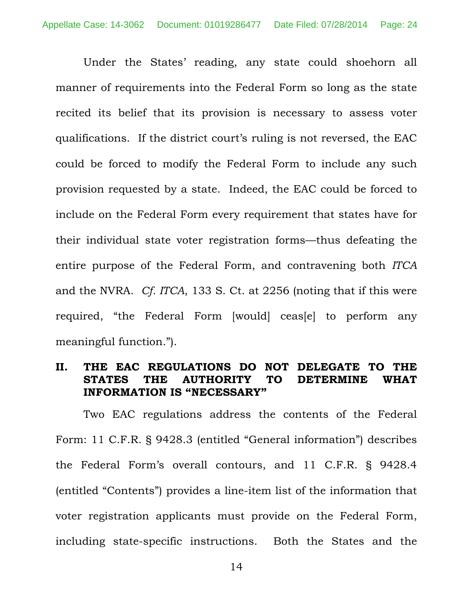Under the States' reading, any state could shoehorn all manner of requirements into the Federal Form so long as the state recited its belief that its provision is necessary to assess voter qualifications. If the district court's ruling is not reversed, the EAC could be forced to modify the Federal Form to include any such provision requested by a state. Indeed, the EAC could be forced to include on the Federal Form every requirement that states have for their individual state voter registration forms—thus defeating the entire purpose of the Federal Form, and contravening both *ITCA*  and the NVRA. *Cf. ITCA*, 133 S. Ct. at 2256 (noting that if this were required, "the Federal Form [would] ceas[e] to perform any meaningful function.").

### **II. THE EAC REGULATIONS DO NOT DELEGATE TO THE STATES THE AUTHORITY TO DETERMINE WHAT INFORMATION IS "NECESSARY"**

Two EAC regulations address the contents of the Federal Form: 11 C.F.R. § 9428.3 (entitled "General information") describes the Federal Form's overall contours, and 11 C.F.R. § 9428.4 (entitled "Contents") provides a line-item list of the information that voter registration applicants must provide on the Federal Form, including state-specific instructions. Both the States and the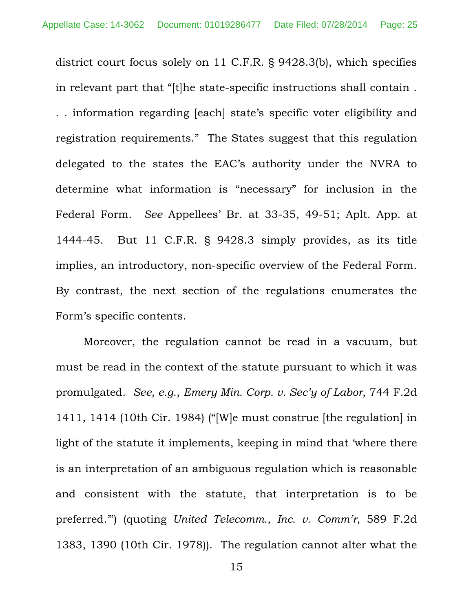district court focus solely on 11 C.F.R. § 9428.3(b), which specifies in relevant part that "[t]he state-specific instructions shall contain . . . information regarding [each] state's specific voter eligibility and registration requirements." The States suggest that this regulation delegated to the states the EAC's authority under the NVRA to determine what information is "necessary" for inclusion in the Federal Form. *See* Appellees' Br. at 33-35, 49-51; Aplt. App. at 1444-45. But 11 C.F.R. § 9428.3 simply provides, as its title implies, an introductory, non-specific overview of the Federal Form. By contrast, the next section of the regulations enumerates the Form's specific contents.

Moreover, the regulation cannot be read in a vacuum, but must be read in the context of the statute pursuant to which it was promulgated. *See, e.g.*, *Emery Min. Corp. v. Sec'y of Labor*, 744 F.2d 1411, 1414 (10th Cir. 1984) ("[W]e must construe [the regulation] in light of the statute it implements, keeping in mind that 'where there is an interpretation of an ambiguous regulation which is reasonable and consistent with the statute, that interpretation is to be preferred.'") (quoting *United Telecomm., Inc. v. Comm'r*, 589 F.2d 1383, 1390 (10th Cir. 1978)). The regulation cannot alter what the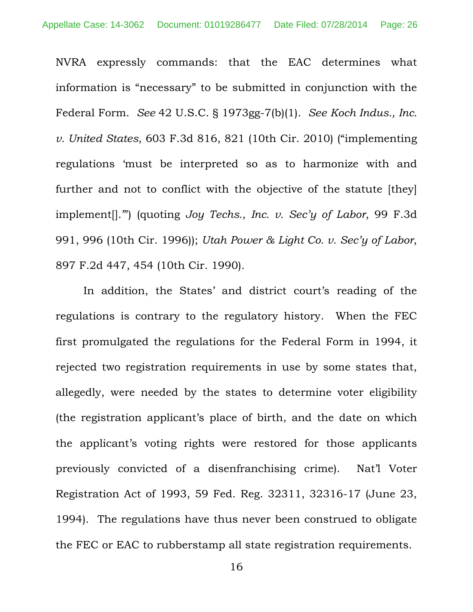NVRA expressly commands: that the EAC determines what information is "necessary" to be submitted in conjunction with the Federal Form. *See* 42 U.S.C. § 1973gg-7(b)(1). *See Koch Indus., Inc. v. United States*, 603 F.3d 816, 821 (10th Cir. 2010) ("implementing regulations 'must be interpreted so as to harmonize with and further and not to conflict with the objective of the statute [they] implement[].'") (quoting *Joy Techs., Inc. v. Sec'y of Labor*, 99 F.3d 991, 996 (10th Cir. 1996)); *Utah Power & Light Co. v. Sec'y of Labor*, 897 F.2d 447, 454 (10th Cir. 1990).

In addition, the States' and district court's reading of the regulations is contrary to the regulatory history. When the FEC first promulgated the regulations for the Federal Form in 1994, it rejected two registration requirements in use by some states that, allegedly, were needed by the states to determine voter eligibility (the registration applicant's place of birth, and the date on which the applicant's voting rights were restored for those applicants previously convicted of a disenfranchising crime). Nat'l Voter Registration Act of 1993, 59 Fed. Reg. 32311, 32316-17 (June 23, 1994). The regulations have thus never been construed to obligate the FEC or EAC to rubberstamp all state registration requirements.

16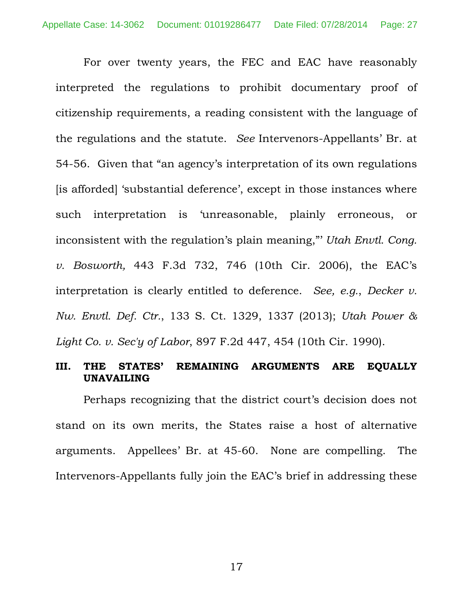For over twenty years, the FEC and EAC have reasonably interpreted the regulations to prohibit documentary proof of citizenship requirements, a reading consistent with the language of the regulations and the statute. *See* Intervenors-Appellants' Br. at 54-56. Given that "an agency's interpretation of its own regulations [is afforded] 'substantial deference', except in those instances where such interpretation is 'unreasonable, plainly erroneous, or inconsistent with the regulation's plain meaning,"' *Utah Envtl. Cong. v. Bosworth,* 443 F.3d 732, 746 (10th Cir. 2006), the EAC's interpretation is clearly entitled to deference. *See, e.g.*, *Decker v. Nw. Envtl. Def. Ctr.*, 133 S. Ct. 1329, 1337 (2013); *Utah Power & Light Co. v. Sec'y of Labor*, 897 F.2d 447, 454 (10th Cir. 1990).

### **III. THE STATES' REMAINING ARGUMENTS ARE EQUALLY UNAVAILING**

Perhaps recognizing that the district court's decision does not stand on its own merits, the States raise a host of alternative arguments. Appellees' Br. at 45-60. None are compelling. The Intervenors-Appellants fully join the EAC's brief in addressing these

17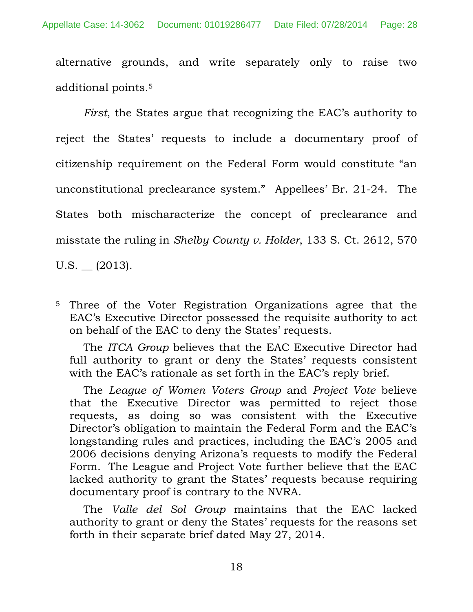alternative grounds, and write separately only to raise two additional points.5

*First*, the States argue that recognizing the EAC's authority to reject the States' requests to include a documentary proof of citizenship requirement on the Federal Form would constitute "an unconstitutional preclearance system." Appellees' Br. 21-24. The States both mischaracterize the concept of preclearance and misstate the ruling in *Shelby County v. Holder*, 133 S. Ct. 2612, 570

 $U.S.$   $(2013).$ 

 The *ITCA Group* believes that the EAC Executive Director had full authority to grant or deny the States' requests consistent with the EAC's rationale as set forth in the EAC's reply brief.

 The *League of Women Voters Group* and *Project Vote* believe that the Executive Director was permitted to reject those requests, as doing so was consistent with the Executive Director's obligation to maintain the Federal Form and the EAC's longstanding rules and practices, including the EAC's 2005 and 2006 decisions denying Arizona's requests to modify the Federal Form. The League and Project Vote further believe that the EAC lacked authority to grant the States' requests because requiring documentary proof is contrary to the NVRA.

 The *Valle del Sol Group* maintains that the EAC lacked authority to grant or deny the States' requests for the reasons set forth in their separate brief dated May 27, 2014.

 $\overline{a}$ 5 Three of the Voter Registration Organizations agree that the EAC's Executive Director possessed the requisite authority to act on behalf of the EAC to deny the States' requests.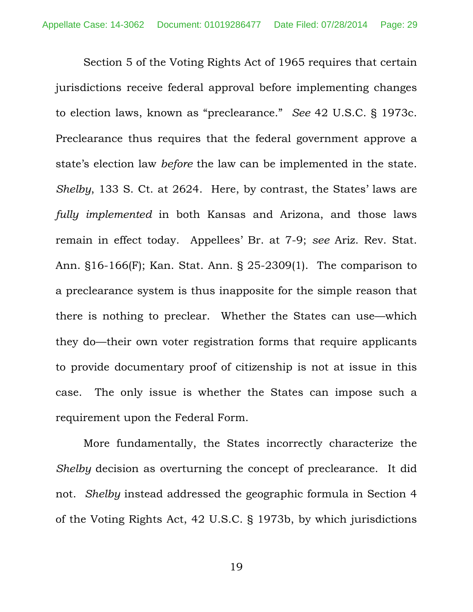Section 5 of the Voting Rights Act of 1965 requires that certain jurisdictions receive federal approval before implementing changes to election laws, known as "preclearance." *See* 42 U.S.C. § 1973c. Preclearance thus requires that the federal government approve a state's election law *before* the law can be implemented in the state. *Shelby*, 133 S. Ct. at 2624. Here, by contrast, the States' laws are *fully implemented* in both Kansas and Arizona, and those laws remain in effect today. Appellees' Br. at 7-9; *see* Ariz. Rev. Stat. Ann. §16-166(F); Kan. Stat. Ann. § 25-2309(1). The comparison to a preclearance system is thus inapposite for the simple reason that there is nothing to preclear. Whether the States can use—which they do—their own voter registration forms that require applicants to provide documentary proof of citizenship is not at issue in this case. The only issue is whether the States can impose such a requirement upon the Federal Form.

More fundamentally, the States incorrectly characterize the *Shelby* decision as overturning the concept of preclearance. It did not. *Shelby* instead addressed the geographic formula in Section 4 of the Voting Rights Act, 42 U.S.C. § 1973b, by which jurisdictions

19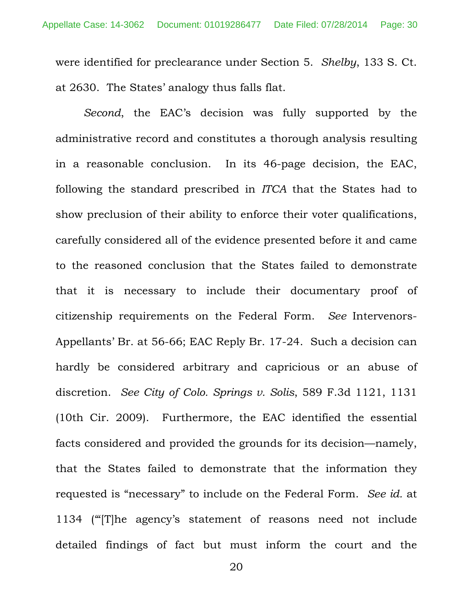were identified for preclearance under Section 5. *Shelby*, 133 S. Ct. at 2630. The States' analogy thus falls flat.

*Second*, the EAC's decision was fully supported by the administrative record and constitutes a thorough analysis resulting in a reasonable conclusion. In its 46-page decision, the EAC, following the standard prescribed in *ITCA* that the States had to show preclusion of their ability to enforce their voter qualifications, carefully considered all of the evidence presented before it and came to the reasoned conclusion that the States failed to demonstrate that it is necessary to include their documentary proof of citizenship requirements on the Federal Form. *See* Intervenors-Appellants' Br. at 56-66; EAC Reply Br. 17-24. Such a decision can hardly be considered arbitrary and capricious or an abuse of discretion. *See City of Colo. Springs v. Solis*, 589 F.3d 1121, 1131 (10th Cir. 2009). Furthermore, the EAC identified the essential facts considered and provided the grounds for its decision—namely, that the States failed to demonstrate that the information they requested is "necessary" to include on the Federal Form. *See id.* at 1134 ('"[T]he agency's statement of reasons need not include detailed findings of fact but must inform the court and the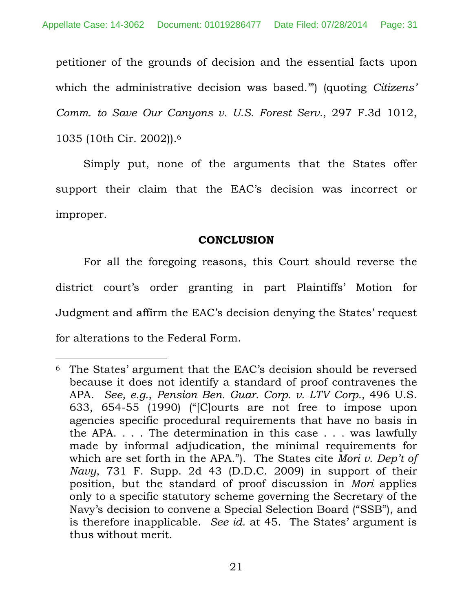petitioner of the grounds of decision and the essential facts upon which the administrative decision was based.'") (quoting *Citizens' Comm. to Save Our Canyons v. U.S. Forest Serv.*, 297 F.3d 1012, 1035 (10th Cir. 2002)).6

Simply put, none of the arguments that the States offer support their claim that the EAC's decision was incorrect or improper.

## **CONCLUSION**

For all the foregoing reasons, this Court should reverse the district court's order granting in part Plaintiffs' Motion for Judgment and affirm the EAC's decision denying the States' request for alterations to the Federal Form.

 $\overline{a}$ 

<sup>6</sup> The States' argument that the EAC's decision should be reversed because it does not identify a standard of proof contravenes the APA. *See, e.g.*, *Pension Ben. Guar. Corp. v. LTV Corp.*, 496 U.S. 633, 654-55 (1990) ("[C]ourts are not free to impose upon agencies specific procedural requirements that have no basis in the APA. . . . The determination in this case . . . was lawfully made by informal adjudication, the minimal requirements for which are set forth in the APA."). The States cite *Mori v. Dep't of Navy*, 731 F. Supp. 2d 43 (D.D.C. 2009) in support of their position, but the standard of proof discussion in *Mori* applies only to a specific statutory scheme governing the Secretary of the Navy's decision to convene a Special Selection Board ("SSB"), and is therefore inapplicable. *See id.* at 45. The States' argument is thus without merit.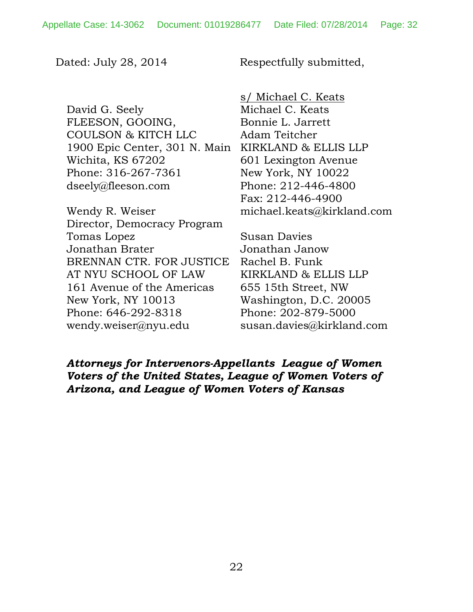Dated: July 28, 2014 Respectfully submitted,

David G. Seely FLEESON, GOOING, COULSON & KITCH LLC 1900 Epic Center, 301 N. Main Wichita, KS 67202 Phone: 316-267-7361 dseely@fleeson.com

Wendy R. Weiser Director, Democracy Program Tomas Lopez Jonathan Brater BRENNAN CTR. FOR JUSTICE AT NYU SCHOOL OF LAW 161 Avenue of the Americas New York, NY 10013 Phone: 646-292-8318 wendy.weiser@nyu.edu

s/ Michael C. Keats Michael C. Keats Bonnie L. Jarrett Adam Teitcher KIRKLAND & ELLIS LLP 601 Lexington Avenue New York, NY 10022 Phone: 212-446-4800 Fax: 212-446-4900 michael.keats@kirkland.com

Susan Davies Jonathan Janow Rachel B. Funk KIRKLAND & ELLIS LLP 655 15th Street, NW Washington, D.C. 20005 Phone: 202-879-5000 susan.davies@kirkland.com

*Attorneys for Intervenors-Appellants League of Women Voters of the United States, League of Women Voters of Arizona, and League of Women Voters of Kansas*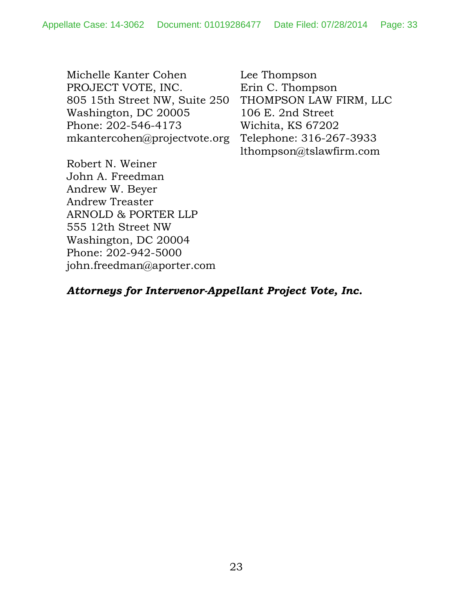Michelle Kanter Cohen PROJECT VOTE, INC. 805 15th Street NW, Suite 250 Washington, DC 20005 Phone: 202-546-4173 mkantercohen@projectvote.org

Lee Thompson Erin C. Thompson THOMPSON LAW FIRM, LLC 106 E. 2nd Street Wichita, KS 67202 Telephone: 316-267-3933 lthompson@tslawfirm.com

Robert N. Weiner John A. Freedman Andrew W. Beyer Andrew Treaster ARNOLD & PORTER LLP 555 12th Street NW Washington, DC 20004 Phone: 202-942-5000 john.freedman@aporter.com

# *Attorneys for Intervenor-Appellant Project Vote, Inc.*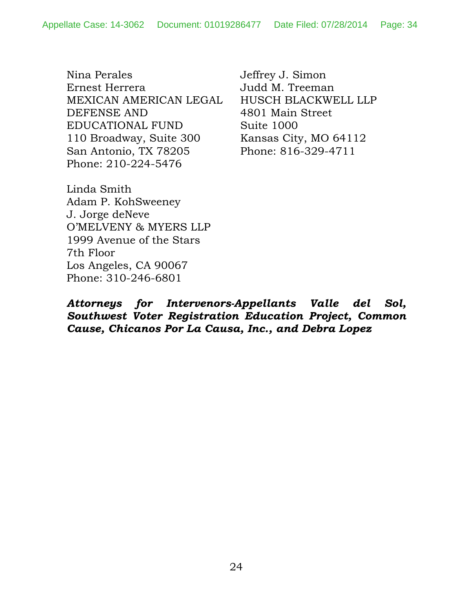Nina Perales Ernest Herrera MEXICAN AMERICAN LEGAL DEFENSE AND EDUCATIONAL FUND 110 Broadway, Suite 300 San Antonio, TX 78205 Phone: 210-224-5476

Jeffrey J. Simon Judd M. Treeman HUSCH BLACKWELL LLP 4801 Main Street Suite 1000 Kansas City, MO 64112 Phone: 816-329-4711

Linda Smith Adam P. KohSweeney J. Jorge deNeve O'MELVENY & MYERS LLP 1999 Avenue of the Stars 7th Floor Los Angeles, CA 90067 Phone: 310-246-6801

*Attorneys for Intervenors-Appellants Valle del Sol, Southwest Voter Registration Education Project, Common Cause, Chicanos Por La Causa, Inc., and Debra Lopez*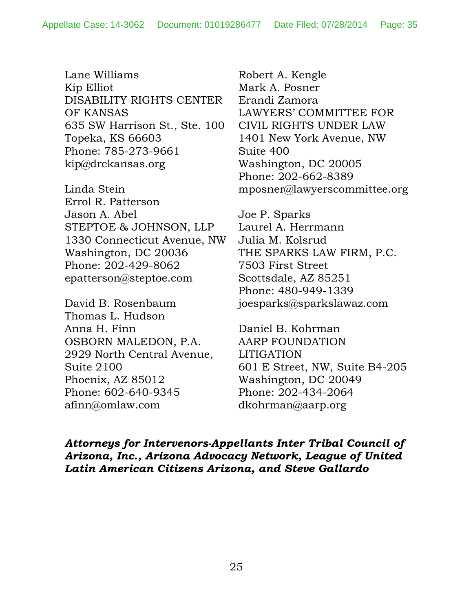Lane Williams Kip Elliot DISABILITY RIGHTS CENTER OF KANSAS 635 SW Harrison St., Ste. 100 Topeka, KS 66603 Phone: 785-273-9661 kip@drckansas.org

Linda Stein Errol R. Patterson Jason A. Abel STEPTOE & JOHNSON, LLP 1330 Connecticut Avenue, NW Washington, DC 20036 Phone: 202-429-8062 epatterson@steptoe.com

David B. Rosenbaum Thomas L. Hudson Anna H. Finn OSBORN MALEDON, P.A. 2929 North Central Avenue, Suite 2100 Phoenix, AZ 85012 Phone: 602-640-9345 afinn@omlaw.com

Robert A. Kengle Mark A. Posner Erandi Zamora LAWYERS' COMMITTEE FOR CIVIL RIGHTS UNDER LAW 1401 New York Avenue, NW Suite 400 Washington, DC 20005 Phone: 202-662-8389 mposner@lawyerscommittee.org

Joe P. Sparks Laurel A. Herrmann Julia M. Kolsrud THE SPARKS LAW FIRM, P.C. 7503 First Street Scottsdale, AZ 85251 Phone: 480-949-1339 joesparks@sparkslawaz.com

Daniel B. Kohrman AARP FOUNDATION LITIGATION 601 E Street, NW, Suite B4-205 Washington, DC 20049 Phone: 202-434-2064 dkohrman@aarp.org

*Attorneys for Intervenors-Appellants Inter Tribal Council of Arizona, Inc., Arizona Advocacy Network, League of United Latin American Citizens Arizona, and Steve Gallardo*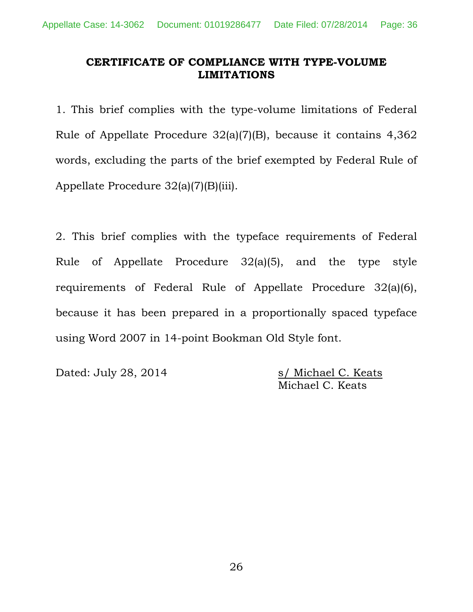## **CERTIFICATE OF COMPLIANCE WITH TYPE-VOLUME LIMITATIONS**

1. This brief complies with the type-volume limitations of Federal Rule of Appellate Procedure 32(a)(7)(B), because it contains 4,362 words, excluding the parts of the brief exempted by Federal Rule of Appellate Procedure 32(a)(7)(B)(iii).

2. This brief complies with the typeface requirements of Federal Rule of Appellate Procedure 32(a)(5), and the type style requirements of Federal Rule of Appellate Procedure 32(a)(6), because it has been prepared in a proportionally spaced typeface using Word 2007 in 14-point Bookman Old Style font.

Dated: July 28, 2014 s/ Michael C. Keats

Michael C. Keats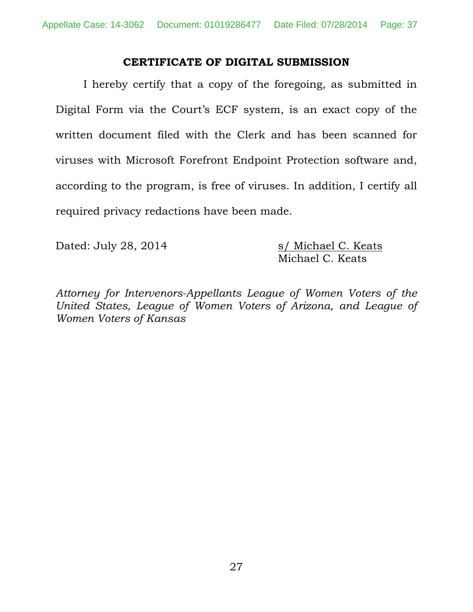### **CERTIFICATE OF DIGITAL SUBMISSION**

I hereby certify that a copy of the foregoing, as submitted in Digital Form via the Court's ECF system, is an exact copy of the written document filed with the Clerk and has been scanned for viruses with Microsoft Forefront Endpoint Protection software and, according to the program, is free of viruses. In addition, I certify all required privacy redactions have been made.

Dated: July 28, 2014 s/ Michael C. Keats

Michael C. Keats

*Attorney for Intervenors-Appellants League of Women Voters of the United States, League of Women Voters of Arizona, and League of Women Voters of Kansas*